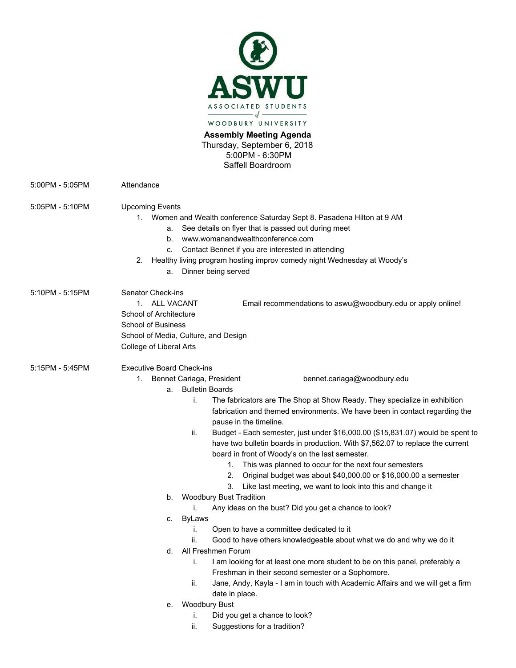

**Assembly Meeting Agenda**  Thursday, September 6, 2018 5:00PM - 6:30PM Saffell Boardroom

5:00PM - 5:05PM Attendance

5:05PM - 5:10PM Upcoming Events

- 1. Women and Wealth conference Saturday Sept 8. Pasadena Hilton at 9 AM
	- a. See details on flyer that is passed out during meet
	- b. [www.womanandwealth](http://www.womanandwealth/)conference.com
	- c. Contact Bennet if you are interested in attending
- 2. Healthy living program hosting improv comedy night Wednesday at Woody's
	- a. Dinner being served

5:10PM - 5:15PM Senator Check-ins 1. ALL VACANT Email recommendations to aswu@woodbury.edu or apply online! School of Architecture School of Business School of Media, Culture, and Design College of Liberal Arts 5:15PM - 5:45PM Executive Board Check-ins 1. Bennet Cariaga, President bennet.cariaga@woodbury.edu a. Bulletin Boards i. The fabricators are The Shop at Show Ready. They specialize in exhibition fabrication and themed environments. We have been in contact regarding the pause in the timeline. ii. Budget - Each semester, just under \$16,000.00 (\$15,831.07) would be spent to have two bulletin boards in production. With \$7,562.07 to replace the current board in front of Woody's on the last semester. 1. This was planned to occur for the next four semesters 2. Original budget was about \$40,000.00 or \$16,000.00 a semester 3. Like last meeting, we want to look into this and change it b. Woodbury Bust Tradition i. Any ideas on the bust? Did you get a chance to look? c. ByLaws i. Open to have a committee dedicated to it ii. Good to have others knowledgeable about what we do and why we do it d. All Freshmen Forum i. I am looking for at least one more student to be on this panel, preferably a Freshman in their second semester or a Sophomore. ii. Jane, Andy, Kayla - I am in touch with Academic Affairs and we will get a firm date in place. e. Woodbury Bust i. Did you get a chance to look?

ii. Suggestions for a tradition?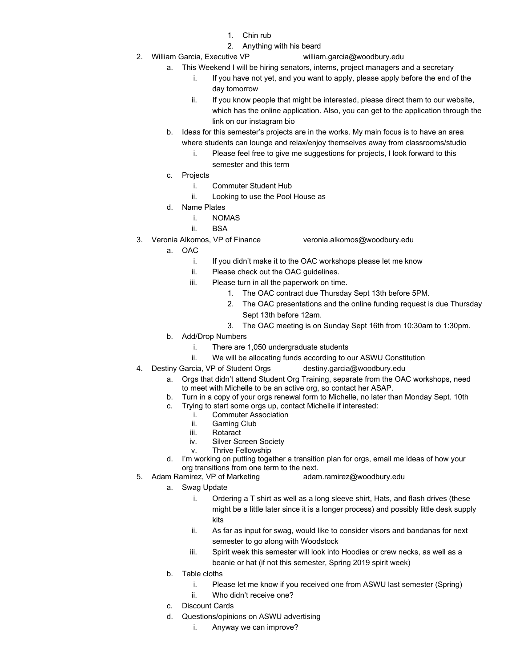- 1. Chin rub
- 2. Anything with his beard
- 2. William Garcia, Executive VP william.garcia@woodbury.edu
	- a. This Weekend I will be hiring senators, interns, project managers and a secretary
		- If you have not yet, and you want to apply, please apply before the end of the day tomorrow
		- ii. If you know people that might be interested, please direct them to our website, which has the online application. Also, you can get to the application through the link on our instagram bio
		- b. Ideas for this semester's projects are in the works. My main focus is to have an area where students can lounge and relax/enjoy themselves away from classrooms/studio
			- i. Please feel free to give me suggestions for projects, I look forward to this semester and this term
		- c. Projects
			- i. Commuter Student Hub
			- ii. Looking to use the Pool House as
		- d. Name Plates
			- i. NOMAS
			- ii. BSA
- 3. Veronia Alkomos, VP of Finance veronia.alkomos@woodbury.edu
	- a. OAC
		- i. If you didn't make it to the OAC workshops please let me know
		- ii. Please check out the OAC guidelines.
		- iii. Please turn in all the paperwork on time.
			- 1. The OAC contract due Thursday Sept 13th before 5PM.
			- 2. The OAC presentations and the online funding request is due Thursday Sept 13th before 12am.
			- 3. The OAC meeting is on Sunday Sept 16th from 10:30am to 1:30pm.
	- b. Add/Drop Numbers
		- i. There are 1,050 undergraduate students
		- ii. We will be allocating funds according to our ASWU Constitution
- 4. Destiny Garcia, VP of Student Orgs destiny.garcia@woodbury.edu
	- a. Orgs that didn't attend Student Org Training, separate from the OAC workshops, need to meet with Michelle to be an active org, so contact her ASAP.
	- b. Turn in a copy of your orgs renewal form to Michelle, no later than Monday Sept. 10th
	- c. Trying to start some orgs up, contact Michelle if interested:
		- i. Commuter Association<br>ii. Gaming Club
		- ii. Gaming Club<br>iii. Rotaract
		- iii. Rotaract<br>iv. Silver Sc
		- iv. Silver Screen Society<br>v. Thrive Fellowship
		- **Thrive Fellowship**
	- d. I'm working on putting together a transition plan for orgs, email me ideas of how your org transitions from one term to the next.
- 5. Adam Ramirez, VP of Marketing adam.ramirez@woodbury.edu
	- a. Swag Update
		- i. Ordering a T shirt as well as a long sleeve shirt, Hats, and flash drives (these might be a little later since it is a longer process) and possibly little desk supply kits
		- ii. As far as input for swag, would like to consider visors and bandanas for next semester to go along with Woodstock
		- iii. Spirit week this semester will look into Hoodies or crew necks, as well as a beanie or hat (if not this semester, Spring 2019 spirit week)
	- b. Table cloths
		- i. Please let me know if you received one from ASWU last semester (Spring)
		- ii. Who didn't receive one?
	- c. Discount Cards
	- d. Questions/opinions on ASWU advertising
		- i. Anyway we can improve?